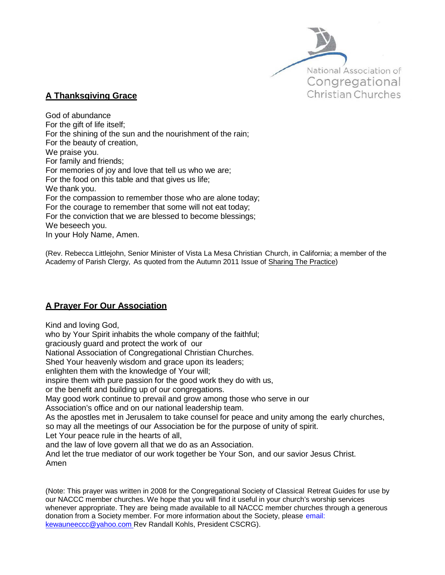

## **A Thanksgiving Grace**

God of abundance For the gift of life itself; For the shining of the sun and the nourishment of the rain; For the beauty of creation, We praise you. For family and friends; For memories of joy and love that tell us who we are; For the food on this table and that gives us life; We thank you. For the compassion to remember those who are alone today; For the courage to remember that some will not eat today; For the conviction that we are blessed to become blessings; We beseech you. In your Holy Name, Amen.

(Rev. Rebecca Littlejohn, Senior Minister of Vista La Mesa Christian Church, in California; a member of the Academy of Parish Clergy, As quoted from the Autumn 2011 Issue of Sharing The Practice)

# **A Prayer For Our Association**

Kind and loving God,

who by Your Spirit inhabits the whole company of the faithful;

graciously guard and protect the work of our

National Association of Congregational Christian Churches.

Shed Your heavenly wisdom and grace upon its leaders;

enlighten them with the knowledge of Your will;

inspire them with pure passion for the good work they do with us,

or the benefit and building up of our congregations.

May good work continue to prevail and grow among those who serve in our

Association's office and on our national leadership team.

As the apostles met in Jerusalem to take counsel for peace and unity among the early churches, so may all the meetings of our Association be for the purpose of unity of spirit.

Let Your peace rule in the hearts of all,

and the law of love govern all that we do as an Association.

And let the true mediator of our work together be Your Son, and our savior Jesus Christ. Amen

(Note: This prayer was written in 2008 for the Congregational Society of Classical Retreat Guides for use by our NACCC member churches. We hope that you will find it useful in your church's worship services whenever appropriate. They are being made available to all NACCC member churches through a generous donation from a Society member. For more information about the Society, please email: [kewauneeccc@yahoo.com](mailto:kewauneeccc@yahoo.com) Rev Randall Kohls, President CSCRG).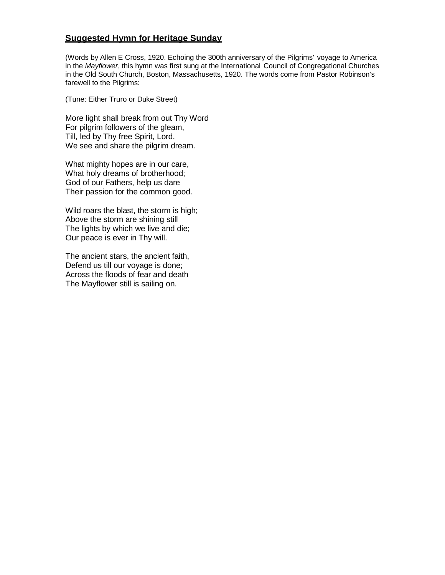## **Suggested Hymn for Heritage Sunday**

(Words by Allen E Cross, 1920. Echoing the 300th anniversary of the Pilgrims' voyage to America in the *Mayflower*, this hymn was first sung at the International Council of Congregational Churches in the Old South Church, Boston, Massachusetts, 1920. The words come from Pastor Robinson's farewell to the Pilgrims:

(Tune: Either Truro or Duke Street)

More light shall break from out Thy Word For pilgrim followers of the gleam, Till, led by Thy free Spirit, Lord, We see and share the pilgrim dream.

What mighty hopes are in our care, What holy dreams of brotherhood; God of our Fathers, help us dare Their passion for the common good.

Wild roars the blast, the storm is high; Above the storm are shining still The lights by which we live and die; Our peace is ever in Thy will.

The ancient stars, the ancient faith, Defend us till our voyage is done; Across the floods of fear and death The Mayflower still is sailing on.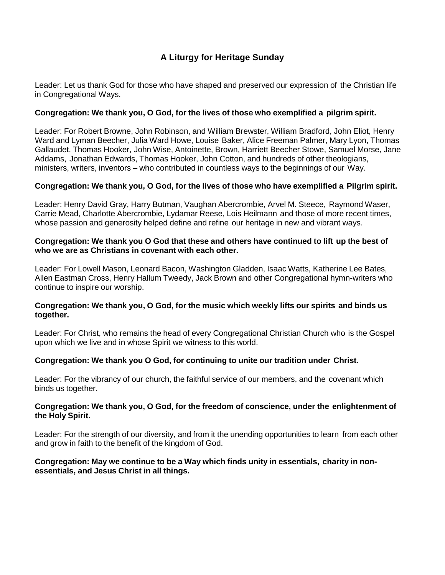# **A Liturgy for Heritage Sunday**

Leader: Let us thank God for those who have shaped and preserved our expression of the Christian life in Congregational Ways.

### **Congregation: We thank you, O God, for the lives of those who exemplified a pilgrim spirit.**

Leader: For Robert Browne, John Robinson, and William Brewster, William Bradford, John Eliot, Henry Ward and Lyman Beecher, Julia Ward Howe, Louise Baker, Alice Freeman Palmer, Mary Lyon, Thomas Gallaudet, Thomas Hooker, John Wise, Antoinette, Brown, Harriett Beecher Stowe, Samuel Morse, Jane Addams, Jonathan Edwards, Thomas Hooker, John Cotton, and hundreds of other theologians, ministers, writers, inventors – who contributed in countless ways to the beginnings of our Way.

## **Congregation: We thank you, O God, for the lives of those who have exemplified a Pilgrim spirit.**

Leader: Henry David Gray, Harry Butman, Vaughan Abercrombie, Arvel M. Steece, Raymond Waser, Carrie Mead, Charlotte Abercrombie, Lydamar Reese, Lois Heilmann and those of more recent times, whose passion and generosity helped define and refine our heritage in new and vibrant ways.

#### **Congregation: We thank you O God that these and others have continued to lift up the best of who we are as Christians in covenant with each other.**

Leader: For Lowell Mason, Leonard Bacon, Washington Gladden, Isaac Watts, Katherine Lee Bates, Allen Eastman Cross, Henry Hallum Tweedy, Jack Brown and other Congregational hymn-writers who continue to inspire our worship.

#### **Congregation: We thank you, O God, for the music which weekly lifts our spirits and binds us together.**

Leader: For Christ, who remains the head of every Congregational Christian Church who is the Gospel upon which we live and in whose Spirit we witness to this world.

#### **Congregation: We thank you O God, for continuing to unite our tradition under Christ.**

Leader: For the vibrancy of our church, the faithful service of our members, and the covenant which binds us together.

#### **Congregation: We thank you, O God, for the freedom of conscience, under the enlightenment of the Holy Spirit.**

Leader: For the strength of our diversity, and from it the unending opportunities to learn from each other and grow in faith to the benefit of the kingdom of God.

#### **Congregation: May we continue to be a Way which finds unity in essentials, charity in nonessentials, and Jesus Christ in all things.**